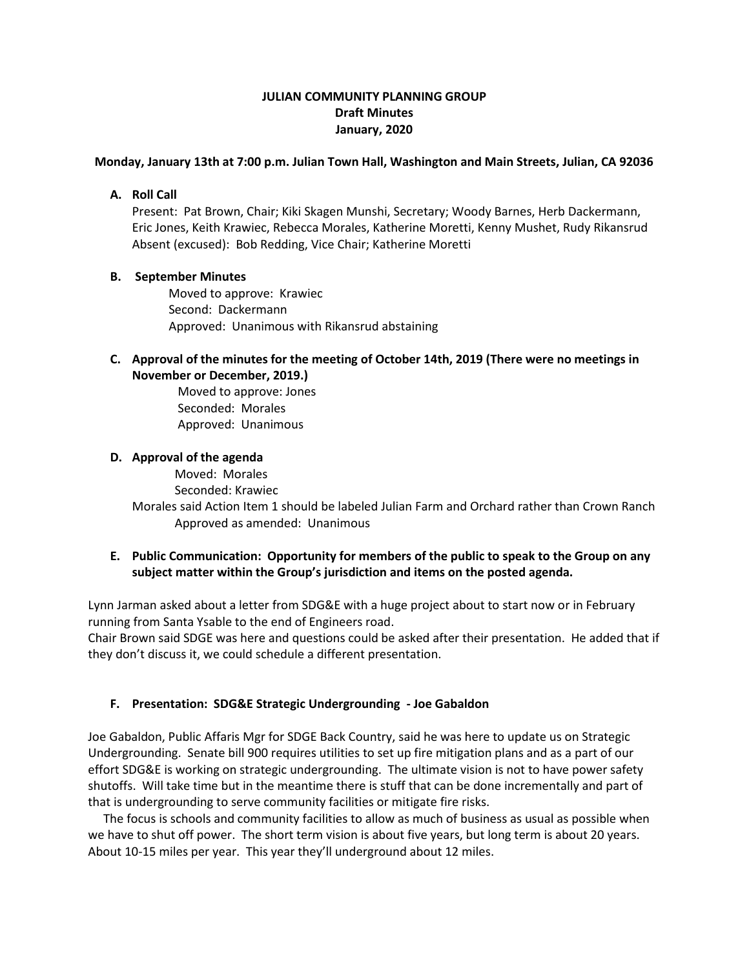# **JULIAN COMMUNITY PLANNING GROUP Draft Minutes January, 2020**

#### **Monday, January 13th at 7:00 p.m. Julian Town Hall, Washington and Main Streets, Julian, CA 92036**

## **A. Roll Call**

Present: Pat Brown, Chair; Kiki Skagen Munshi, Secretary; Woody Barnes, Herb Dackermann, Eric Jones, Keith Krawiec, Rebecca Morales, Katherine Moretti, Kenny Mushet, Rudy Rikansrud Absent (excused): Bob Redding, Vice Chair; Katherine Moretti

# **B. September Minutes**

 Moved to approve: Krawiec Second: Dackermann Approved: Unanimous with Rikansrud abstaining

# **C. Approval of the minutes for the meeting of October 14th, 2019 (There were no meetings in November or December, 2019.)**

Moved to approve: Jones Seconded: Morales Approved: Unanimous

# **D. Approval of the agenda**

Moved: Morales

Seconded: Krawiec

Morales said Action Item 1 should be labeled Julian Farm and Orchard rather than Crown Ranch Approved as amended: Unanimous

# **E. Public Communication: Opportunity for members of the public to speak to the Group on any subject matter within the Group's jurisdiction and items on the posted agenda.**

Lynn Jarman asked about a letter from SDG&E with a huge project about to start now or in February running from Santa Ysable to the end of Engineers road.

Chair Brown said SDGE was here and questions could be asked after their presentation. He added that if they don't discuss it, we could schedule a different presentation.

# **F. Presentation: SDG&E Strategic Undergrounding - Joe Gabaldon**

Joe Gabaldon, Public Affaris Mgr for SDGE Back Country, said he was here to update us on Strategic Undergrounding. Senate bill 900 requires utilities to set up fire mitigation plans and as a part of our effort SDG&E is working on strategic undergrounding. The ultimate vision is not to have power safety shutoffs. Will take time but in the meantime there is stuff that can be done incrementally and part of that is undergrounding to serve community facilities or mitigate fire risks.

 The focus is schools and community facilities to allow as much of business as usual as possible when we have to shut off power. The short term vision is about five years, but long term is about 20 years. About 10-15 miles per year. This year they'll underground about 12 miles.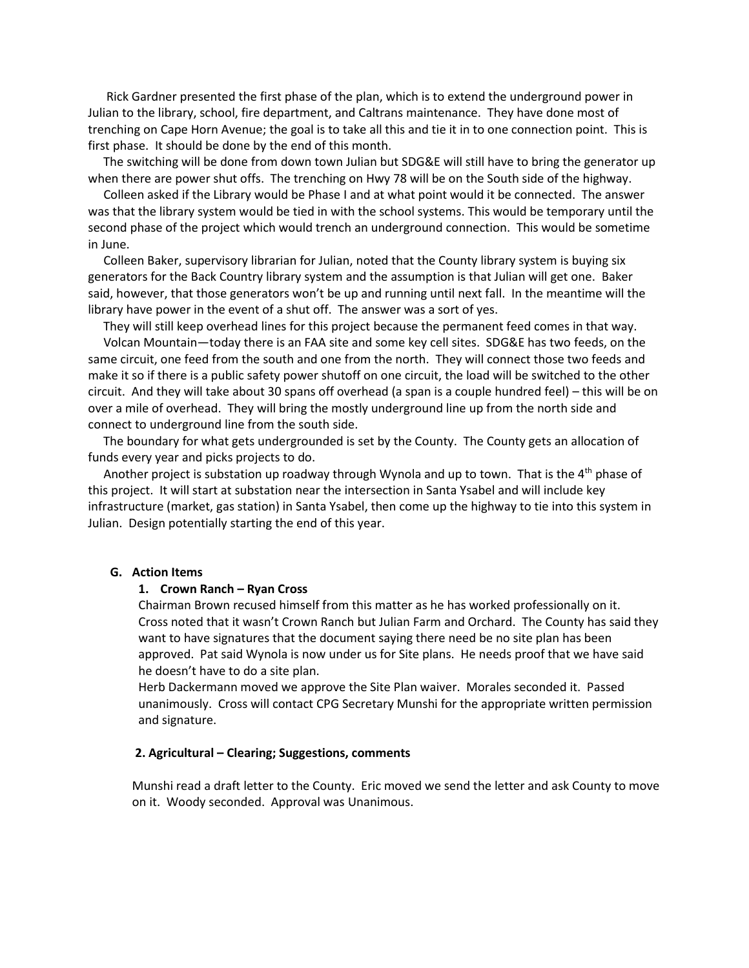Rick Gardner presented the first phase of the plan, which is to extend the underground power in Julian to the library, school, fire department, and Caltrans maintenance. They have done most of trenching on Cape Horn Avenue; the goal is to take all this and tie it in to one connection point. This is first phase. It should be done by the end of this month.

 The switching will be done from down town Julian but SDG&E will still have to bring the generator up when there are power shut offs. The trenching on Hwy 78 will be on the South side of the highway.

 Colleen asked if the Library would be Phase I and at what point would it be connected. The answer was that the library system would be tied in with the school systems. This would be temporary until the second phase of the project which would trench an underground connection. This would be sometime in June.

 Colleen Baker, supervisory librarian for Julian, noted that the County library system is buying six generators for the Back Country library system and the assumption is that Julian will get one. Baker said, however, that those generators won't be up and running until next fall. In the meantime will the library have power in the event of a shut off. The answer was a sort of yes.

 They will still keep overhead lines for this project because the permanent feed comes in that way. Volcan Mountain—today there is an FAA site and some key cell sites. SDG&E has two feeds, on the same circuit, one feed from the south and one from the north. They will connect those two feeds and make it so if there is a public safety power shutoff on one circuit, the load will be switched to the other circuit. And they will take about 30 spans off overhead (a span is a couple hundred feel) – this will be on over a mile of overhead. They will bring the mostly underground line up from the north side and connect to underground line from the south side.

 The boundary for what gets undergrounded is set by the County. The County gets an allocation of funds every year and picks projects to do.

Another project is substation up roadway through Wynola and up to town. That is the 4<sup>th</sup> phase of this project. It will start at substation near the intersection in Santa Ysabel and will include key infrastructure (market, gas station) in Santa Ysabel, then come up the highway to tie into this system in Julian. Design potentially starting the end of this year.

#### **G. Action Items**

#### **1. Crown Ranch – Ryan Cross**

Chairman Brown recused himself from this matter as he has worked professionally on it. Cross noted that it wasn't Crown Ranch but Julian Farm and Orchard. The County has said they want to have signatures that the document saying there need be no site plan has been approved. Pat said Wynola is now under us for Site plans. He needs proof that we have said he doesn't have to do a site plan.

Herb Dackermann moved we approve the Site Plan waiver. Morales seconded it. Passed unanimously. Cross will contact CPG Secretary Munshi for the appropriate written permission and signature.

#### **2. Agricultural – Clearing; Suggestions, comments**

Munshi read a draft letter to the County. Eric moved we send the letter and ask County to move on it. Woody seconded. Approval was Unanimous.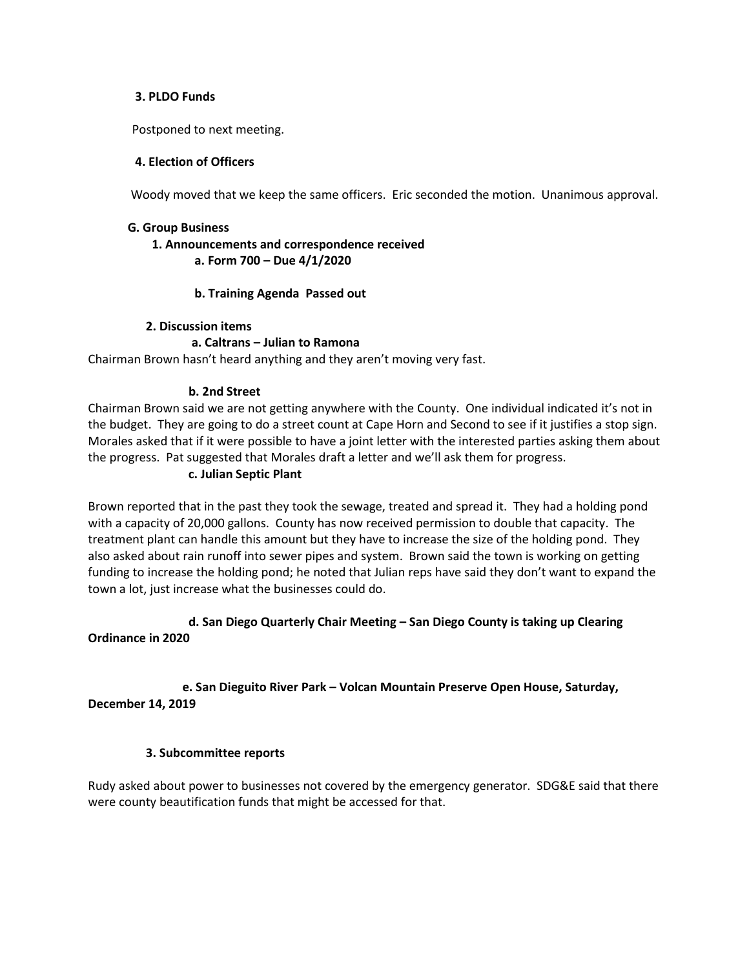#### **3. PLDO Funds**

Postponed to next meeting.

#### **4. Election of Officers**

Woody moved that we keep the same officers. Eric seconded the motion. Unanimous approval.

#### **G. Group Business**

#### **1. Announcements and correspondence received a. Form 700 – Due 4/1/2020**

#### **b. Training Agenda Passed out**

#### **2. Discussion items**

#### **a. Caltrans – Julian to Ramona**

Chairman Brown hasn't heard anything and they aren't moving very fast.

#### **b. 2nd Street**

Chairman Brown said we are not getting anywhere with the County. One individual indicated it's not in the budget. They are going to do a street count at Cape Horn and Second to see if it justifies a stop sign. Morales asked that if it were possible to have a joint letter with the interested parties asking them about the progress. Pat suggested that Morales draft a letter and we'll ask them for progress.

#### **c. Julian Septic Plant**

Brown reported that in the past they took the sewage, treated and spread it. They had a holding pond with a capacity of 20,000 gallons. County has now received permission to double that capacity. The treatment plant can handle this amount but they have to increase the size of the holding pond. They also asked about rain runoff into sewer pipes and system. Brown said the town is working on getting funding to increase the holding pond; he noted that Julian reps have said they don't want to expand the town a lot, just increase what the businesses could do.

# **d. San Diego Quarterly Chair Meeting – San Diego County is taking up Clearing Ordinance in 2020**

# **e. San Dieguito River Park – Volcan Mountain Preserve Open House, Saturday,**

**December 14, 2019** 

#### **3. Subcommittee reports**

Rudy asked about power to businesses not covered by the emergency generator. SDG&E said that there were county beautification funds that might be accessed for that.